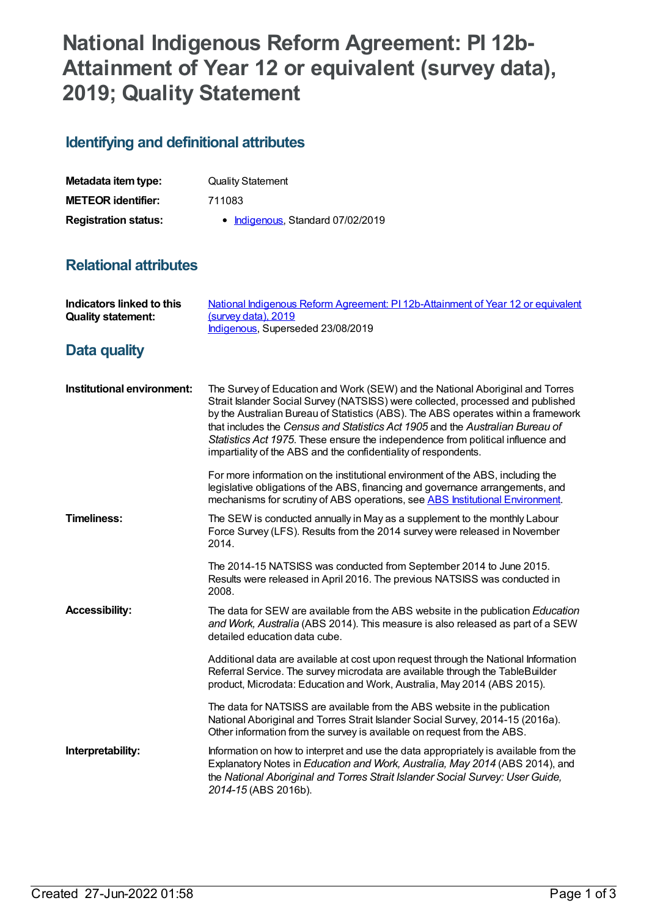## **National Indigenous Reform Agreement: PI 12b-Attainment of Year 12 or equivalent (survey data), 2019; Quality Statement**

## **Identifying and definitional attributes**

| Metadata item type:         | <b>Quality Statement</b>          |
|-----------------------------|-----------------------------------|
| <b>METEOR identifier:</b>   | 711083                            |
| <b>Registration status:</b> | • Indigenous, Standard 07/02/2019 |

## **Relational attributes**

| <b>Indicators linked to this</b><br><b>Quality statement:</b> | National Indigenous Reform Agreement: PI 12b-Attainment of Year 12 or equivalent<br>(survey data), 2019<br>Indigenous, Superseded 23/08/2019                                                                                                                                                                                                                                                                                                                                                 |
|---------------------------------------------------------------|----------------------------------------------------------------------------------------------------------------------------------------------------------------------------------------------------------------------------------------------------------------------------------------------------------------------------------------------------------------------------------------------------------------------------------------------------------------------------------------------|
| Data quality                                                  |                                                                                                                                                                                                                                                                                                                                                                                                                                                                                              |
| Institutional environment:                                    | The Survey of Education and Work (SEW) and the National Aboriginal and Torres<br>Strait Islander Social Survey (NATSISS) were collected, processed and published<br>by the Australian Bureau of Statistics (ABS). The ABS operates within a framework<br>that includes the Census and Statistics Act 1905 and the Australian Bureau of<br>Statistics Act 1975. These ensure the independence from political influence and<br>impartiality of the ABS and the confidentiality of respondents. |
|                                                               | For more information on the institutional environment of the ABS, including the<br>legislative obligations of the ABS, financing and governance arrangements, and<br>mechanisms for scrutiny of ABS operations, see ABS Institutional Environment.                                                                                                                                                                                                                                           |
| <b>Timeliness:</b>                                            | The SEW is conducted annually in May as a supplement to the monthly Labour<br>Force Survey (LFS). Results from the 2014 survey were released in November<br>2014.                                                                                                                                                                                                                                                                                                                            |
|                                                               | The 2014-15 NATSISS was conducted from September 2014 to June 2015.<br>Results were released in April 2016. The previous NATSISS was conducted in<br>2008.                                                                                                                                                                                                                                                                                                                                   |
| <b>Accessibility:</b>                                         | The data for SEW are available from the ABS website in the publication Education<br>and Work, Australia (ABS 2014). This measure is also released as part of a SEW<br>detailed education data cube.                                                                                                                                                                                                                                                                                          |
|                                                               | Additional data are available at cost upon request through the National Information<br>Referral Service. The survey microdata are available through the TableBuilder<br>product, Microdata: Education and Work, Australia, May 2014 (ABS 2015).                                                                                                                                                                                                                                              |
|                                                               | The data for NATSISS are available from the ABS website in the publication<br>National Aboriginal and Torres Strait Islander Social Survey, 2014-15 (2016a).<br>Other information from the survey is available on request from the ABS.                                                                                                                                                                                                                                                      |
| Interpretability:                                             | Information on how to interpret and use the data appropriately is available from the<br>Explanatory Notes in Education and Work, Australia, May 2014 (ABS 2014), and<br>the National Aboriginal and Torres Strait Islander Social Survey: User Guide,<br>2014-15 (ABS 2016b).                                                                                                                                                                                                                |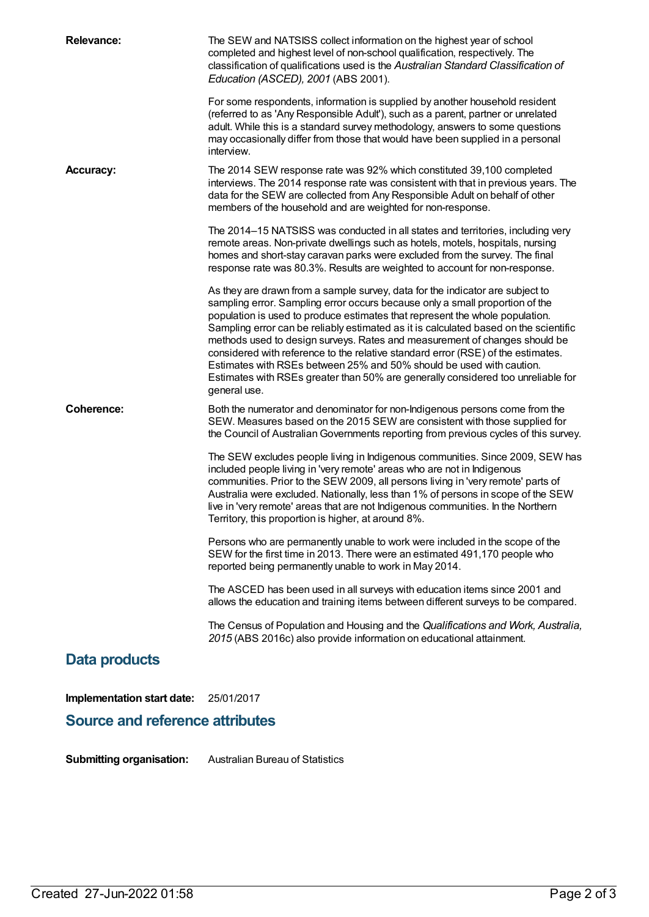| Implementation start date: | 25/01/2017                                                                                                                                                                                                                                                                                                                                                                                                                                                                                                                                                                                                                                                                          |
|----------------------------|-------------------------------------------------------------------------------------------------------------------------------------------------------------------------------------------------------------------------------------------------------------------------------------------------------------------------------------------------------------------------------------------------------------------------------------------------------------------------------------------------------------------------------------------------------------------------------------------------------------------------------------------------------------------------------------|
| Data products              |                                                                                                                                                                                                                                                                                                                                                                                                                                                                                                                                                                                                                                                                                     |
|                            | The Census of Population and Housing and the Qualifications and Work, Australia,<br>2015 (ABS 2016c) also provide information on educational attainment.                                                                                                                                                                                                                                                                                                                                                                                                                                                                                                                            |
|                            | The ASCED has been used in all surveys with education items since 2001 and<br>allows the education and training items between different surveys to be compared.                                                                                                                                                                                                                                                                                                                                                                                                                                                                                                                     |
|                            | Persons who are permanently unable to work were included in the scope of the<br>SEW for the first time in 2013. There were an estimated 491,170 people who<br>reported being permanently unable to work in May 2014.                                                                                                                                                                                                                                                                                                                                                                                                                                                                |
|                            | The SEW excludes people living in Indigenous communities. Since 2009, SEW has<br>included people living in 'very remote' areas who are not in Indigenous<br>communities. Prior to the SEW 2009, all persons living in 'very remote' parts of<br>Australia were excluded. Nationally, less than 1% of persons in scope of the SEW<br>live in 'very remote' areas that are not Indigenous communities. In the Northern<br>Territory, this proportion is higher, at around 8%.                                                                                                                                                                                                         |
| <b>Coherence:</b>          | Both the numerator and denominator for non-Indigenous persons come from the<br>SEW. Measures based on the 2015 SEW are consistent with those supplied for<br>the Council of Australian Governments reporting from previous cycles of this survey.                                                                                                                                                                                                                                                                                                                                                                                                                                   |
|                            | As they are drawn from a sample survey, data for the indicator are subject to<br>sampling error. Sampling error occurs because only a small proportion of the<br>population is used to produce estimates that represent the whole population.<br>Sampling error can be reliably estimated as it is calculated based on the scientific<br>methods used to design surveys. Rates and measurement of changes should be<br>considered with reference to the relative standard error (RSE) of the estimates.<br>Estimates with RSEs between 25% and 50% should be used with caution.<br>Estimates with RSEs greater than 50% are generally considered too unreliable for<br>general use. |
|                            | The 2014-15 NATSISS was conducted in all states and territories, including very<br>remote areas. Non-private dwellings such as hotels, motels, hospitals, nursing<br>homes and short-stay caravan parks were excluded from the survey. The final<br>response rate was 80.3%. Results are weighted to account for non-response.                                                                                                                                                                                                                                                                                                                                                      |
| <b>Accuracy:</b>           | The 2014 SEW response rate was 92% which constituted 39,100 completed<br>interviews. The 2014 response rate was consistent with that in previous years. The<br>data for the SEW are collected from Any Responsible Adult on behalf of other<br>members of the household and are weighted for non-response.                                                                                                                                                                                                                                                                                                                                                                          |
|                            | For some respondents, information is supplied by another household resident<br>(referred to as 'Any Responsible Adult'), such as a parent, partner or unrelated<br>adult. While this is a standard survey methodology, answers to some questions<br>may occasionally differ from those that would have been supplied in a personal<br>interview.                                                                                                                                                                                                                                                                                                                                    |
| <b>Relevance:</b>          | The SEW and NATSISS collect information on the highest year of school<br>completed and highest level of non-school qualification, respectively. The<br>classification of qualifications used is the Australian Standard Classification of<br>Education (ASCED), 2001 (ABS 2001).                                                                                                                                                                                                                                                                                                                                                                                                    |

**Submitting organisation:** Australian Bureau of Statistics